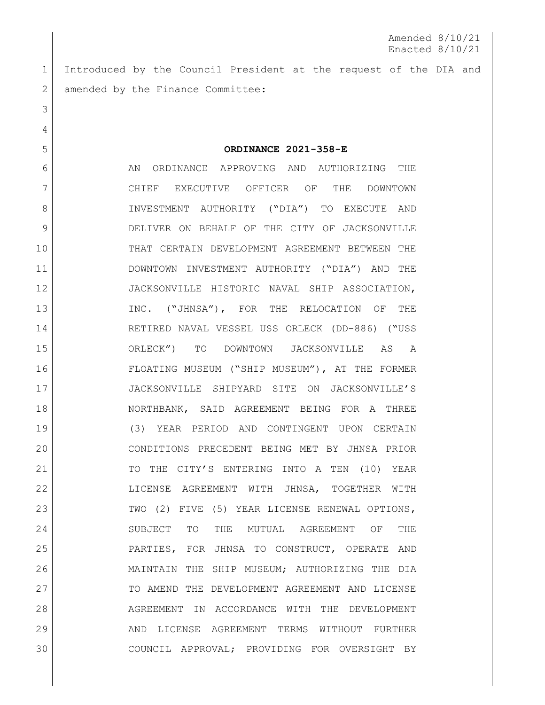Amended 8/10/21 Enacted 8/10/21

 Introduced by the Council President at the request of the DIA and 2 amended by the Finance Committee:

**ORDINANCE 2021-358-E**

6 AN ORDINANCE APPROVING AND AUTHORIZING THE CHIEF EXECUTIVE OFFICER OF THE DOWNTOWN INVESTMENT AUTHORITY ("DIA") TO EXECUTE AND DELIVER ON BEHALF OF THE CITY OF JACKSONVILLE THAT CERTAIN DEVELOPMENT AGREEMENT BETWEEN THE DOWNTOWN INVESTMENT AUTHORITY ("DIA") AND THE JACKSONVILLE HISTORIC NAVAL SHIP ASSOCIATION, 13 INC. ("JHNSA"), FOR THE RELOCATION OF THE RETIRED NAVAL VESSEL USS ORLECK (DD-886) ("USS ORLECK") TO DOWNTOWN JACKSONVILLE AS A FLOATING MUSEUM ("SHIP MUSEUM"), AT THE FORMER JACKSONVILLE SHIPYARD SITE ON JACKSONVILLE'S NORTHBANK, SAID AGREEMENT BEING FOR A THREE (3) YEAR PERIOD AND CONTINGENT UPON CERTAIN CONDITIONS PRECEDENT BEING MET BY JHNSA PRIOR 21 TO THE CITY'S ENTERING INTO A TEN (10) YEAR LICENSE AGREEMENT WITH JHNSA, TOGETHER WITH 23 TWO (2) FIVE (5) YEAR LICENSE RENEWAL OPTIONS, SUBJECT TO THE MUTUAL AGREEMENT OF THE PARTIES, FOR JHNSA TO CONSTRUCT, OPERATE AND MAINTAIN THE SHIP MUSEUM; AUTHORIZING THE DIA 27 TO AMEND THE DEVELOPMENT AGREEMENT AND LICENSE AGREEMENT IN ACCORDANCE WITH THE DEVELOPMENT 29 AND LICENSE AGREEMENT TERMS WITHOUT FURTHER COUNCIL APPROVAL; PROVIDING FOR OVERSIGHT BY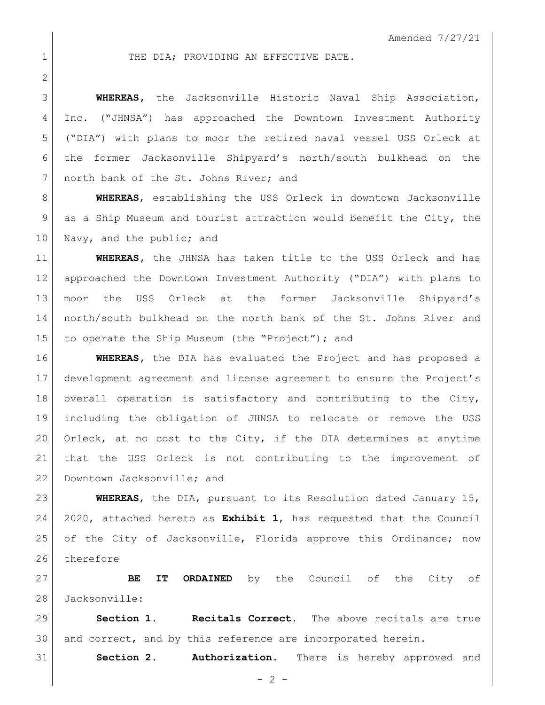## 1 THE DIA: PROVIDING AN EFFECTIVE DATE.

 **WHEREAS,** the Jacksonville Historic Naval Ship Association, Inc. ("JHNSA") has approached the Downtown Investment Authority ("DIA") with plans to moor the retired naval vessel USS Orleck at the former Jacksonville Shipyard's north/south bulkhead on the 7 north bank of the St. Johns River; and

 **WHEREAS**, establishing the USS Orleck in downtown Jacksonville as a Ship Museum and tourist attraction would benefit the City, the 10 Navy, and the public; and

 **WHEREAS,** the JHNSA has taken title to the USS Orleck and has approached the Downtown Investment Authority ("DIA") with plans to moor the USS Orleck at the former Jacksonville Shipyard's north/south bulkhead on the north bank of the St. Johns River and 15 to operate the Ship Museum (the "Project"); and

 **WHEREAS,** the DIA has evaluated the Project and has proposed a development agreement and license agreement to ensure the Project's 18 overall operation is satisfactory and contributing to the City, including the obligation of JHNSA to relocate or remove the USS Orleck, at no cost to the City, if the DIA determines at anytime that the USS Orleck is not contributing to the improvement of 22 Downtown Jacksonville; and

 **WHEREAS**, the DIA, pursuant to its Resolution dated January 15, 2020, attached hereto as **Exhibit 1**, has requested that the Council 25 of the City of Jacksonville, Florida approve this Ordinance; now 26 therefore

 **BE IT ORDAINED** by the Council of the City of Jacksonville:

 **Section 1. Recitals Correct.** The above recitals are true 30 and correct, and by this reference are incorporated herein.

**Section 2. Authorization.** There is hereby approved and

 $- 2 -$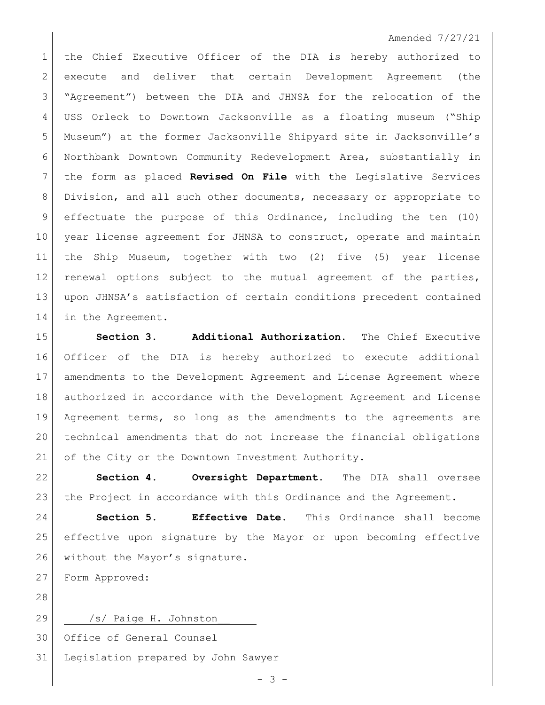## Amended 7/27/21

1 the Chief Executive Officer of the DIA is hereby authorized to execute and deliver that certain Development Agreement (the "Agreement") between the DIA and JHNSA for the relocation of the USS Orleck to Downtown Jacksonville as a floating museum ("Ship Museum") at the former Jacksonville Shipyard site in Jacksonville's Northbank Downtown Community Redevelopment Area, substantially in the form as placed **Revised On File** with the Legislative Services Division, and all such other documents, necessary or appropriate to 9 effectuate the purpose of this Ordinance, including the ten (10) year license agreement for JHNSA to construct, operate and maintain the Ship Museum, together with two (2) five (5) year license renewal options subject to the mutual agreement of the parties, upon JHNSA's satisfaction of certain conditions precedent contained 14 in the Agreement.

 **Section 3. Additional Authorization.** The Chief Executive Officer of the DIA is hereby authorized to execute additional amendments to the Development Agreement and License Agreement where authorized in accordance with the Development Agreement and License Agreement terms, so long as the amendments to the agreements are technical amendments that do not increase the financial obligations 21 of the City or the Downtown Investment Authority.

 **Section 4. Oversight Department.** The DIA shall oversee the Project in accordance with this Ordinance and the Agreement.

 **Section 5. Effective Date.** This Ordinance shall become effective upon signature by the Mayor or upon becoming effective 26 without the Mayor's signature.

Form Approved:

29 /s/ Paige H. Johnston Office of General Counsel Legislation prepared by John Sawyer

 $- 3 -$